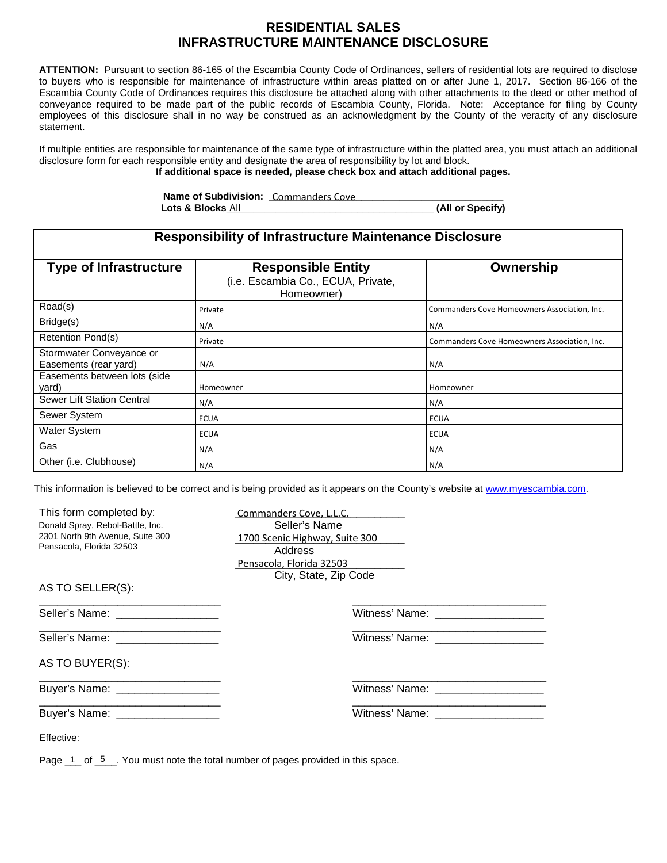#### **RESIDENTIAL SALES INFRASTRUCTURE MAINTENANCE DISCLOSURE**

**ATTENTION:** Pursuant to section 86-165 of the Escambia County Code of Ordinances, sellers of residential lots are required to disclose to buyers who is responsible for maintenance of infrastructure within areas platted on or after June 1, 2017. Section 86-166 of the Escambia County Code of Ordinances requires this disclosure be attached along with other attachments to the deed or other method of conveyance required to be made part of the public records of Escambia County, Florida. Note: Acceptance for filing by County employees of this disclosure shall in no way be construed as an acknowledgment by the County of the veracity of any disclosure statement.

If multiple entities are responsible for maintenance of the same type of infrastructure within the platted area, you must attach an additional disclosure form for each responsible entity and designate the area of responsibility by lot and block. **If additional space is needed, please check box and attach additional pages.**

> Name of Subdivision: Commanders Cove **Name of Subdivision: Commanders Cove Lots & Blocks\_\_\_\_\_\_\_\_\_\_\_\_\_\_\_\_\_\_\_\_\_\_\_\_\_\_\_\_\_\_\_\_\_\_\_\_\_\_ (All or Specify)** All

#### **Responsibility of Infrastructure Maintenance Disclosure**

| <b>Type of Infrastructure</b>                     | <b>Responsible Entity</b><br>(i.e. Escambia Co., ECUA, Private,<br>Homeowner) | Ownership                                    |
|---------------------------------------------------|-------------------------------------------------------------------------------|----------------------------------------------|
| Road(s)                                           | Private                                                                       | Commanders Cove Homeowners Association, Inc. |
| Bridge(s)                                         | N/A                                                                           | N/A                                          |
| <b>Retention Pond(s)</b>                          | Private                                                                       | Commanders Cove Homeowners Association, Inc. |
| Stormwater Conveyance or<br>Easements (rear yard) | N/A                                                                           | N/A                                          |
| Easements between lots (side<br>yard)             | Homeowner                                                                     | Homeowner                                    |
| Sewer Lift Station Central                        | N/A                                                                           | N/A                                          |
| Sewer System                                      | <b>ECUA</b>                                                                   | <b>ECUA</b>                                  |
| Water System                                      | <b>ECUA</b>                                                                   | <b>ECUA</b>                                  |
| Gas                                               | N/A                                                                           | N/A                                          |
| Other (i.e. Clubhouse)                            | N/A                                                                           | N/A                                          |

This information is believed to be correct and is being provided as it appears on the County's website a[t www.myescambia.com.](http://www.myescambia.com/)

| This form completed by:             | Commanders Cove, L.L.C.               |
|-------------------------------------|---------------------------------------|
| Donald Spray, Rebol-Battle, Inc.    | Seller's Name                         |
| 2301 North 9th Avenue, Suite 300    | 1700 Scenic Highway, Suite 300        |
| Pensacola, Florida 32503            | Address                               |
|                                     | Pensacola, Florida 32503              |
|                                     | City, State, Zip Code                 |
| AS TO SELLER(S):                    |                                       |
| Seller's Name: ____________________ |                                       |
| Seller's Name: ____________________ | Witness' Name: ______________________ |
| AS TO BUYER(S):                     |                                       |
| Buyer's Name: ___________________   | Witness' Name: ______________________ |
| Buyer's Name: ___________________   | Witness' Name: _____________________  |
| Effective:                          |                                       |

Page  $1$  of  $5$   $\ldots$  You must note the total number of pages provided in this space.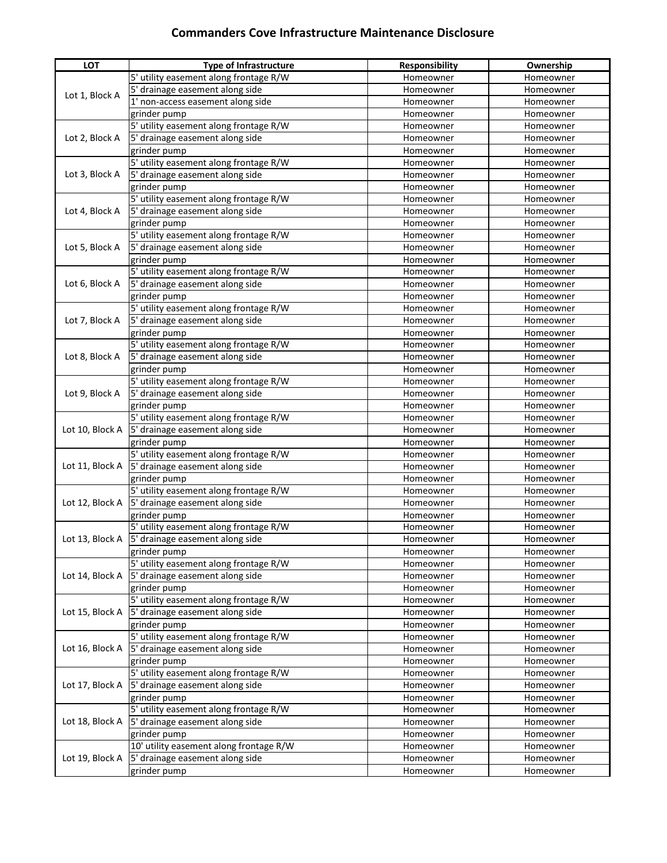| <b>LOT</b>      | <b>Type of Infrastructure</b>                      | Responsibility | Ownership |
|-----------------|----------------------------------------------------|----------------|-----------|
| Lot 1, Block A  | 5' utility easement along frontage R/W             | Homeowner      | Homeowner |
|                 | 5' drainage easement along side                    | Homeowner      | Homeowner |
|                 | 1' non-access easement along side                  | Homeowner      | Homeowner |
|                 | grinder pump                                       | Homeowner      | Homeowner |
|                 | 5' utility easement along frontage R/W             | Homeowner      | Homeowner |
| Lot 2, Block A  | 5' drainage easement along side                    | Homeowner      | Homeowner |
|                 | grinder pump                                       | Homeowner      | Homeowner |
|                 | 5' utility easement along frontage R/W             | Homeowner      | Homeowner |
| Lot 3, Block A  | 5' drainage easement along side                    | Homeowner      | Homeowner |
|                 | grinder pump                                       | Homeowner      | Homeowner |
|                 | 5' utility easement along frontage R/W             | Homeowner      | Homeowner |
| Lot 4, Block A  | 5' drainage easement along side                    | Homeowner      | Homeowner |
|                 | grinder pump                                       | Homeowner      | Homeowner |
|                 | 5' utility easement along frontage R/W             | Homeowner      | Homeowner |
| Lot 5, Block A  | 5' drainage easement along side                    | Homeowner      | Homeowner |
|                 | grinder pump                                       | Homeowner      | Homeowner |
|                 | 5' utility easement along frontage R/W             | Homeowner      | Homeowner |
| Lot 6, Block A  | 5' drainage easement along side                    | Homeowner      | Homeowner |
|                 | grinder pump                                       | Homeowner      | Homeowner |
|                 | 5' utility easement along frontage R/W             | Homeowner      | Homeowner |
| Lot 7, Block A  | 5' drainage easement along side                    | Homeowner      | Homeowner |
|                 | grinder pump                                       | Homeowner      | Homeowner |
|                 | 5' utility easement along frontage R/W             | Homeowner      | Homeowner |
| Lot 8, Block A  | 5' drainage easement along side                    | Homeowner      | Homeowner |
|                 | grinder pump                                       | Homeowner      | Homeowner |
|                 | 5' utility easement along frontage R/W             | Homeowner      | Homeowner |
| Lot 9, Block A  | 5' drainage easement along side                    | Homeowner      | Homeowner |
|                 | grinder pump                                       | Homeowner      | Homeowner |
|                 | 5' utility easement along frontage R/W             | Homeowner      | Homeowner |
| Lot 10, Block A | 5' drainage easement along side                    | Homeowner      | Homeowner |
|                 | grinder pump                                       | Homeowner      | Homeowner |
|                 | 5' utility easement along frontage R/W             | Homeowner      | Homeowner |
| Lot 11, Block A | 5' drainage easement along side                    | Homeowner      | Homeowner |
|                 | grinder pump                                       | Homeowner      | Homeowner |
|                 | 5' utility easement along frontage R/W             | Homeowner      | Homeowner |
| Lot 12, Block A | 5' drainage easement along side                    | Homeowner      | Homeowner |
|                 | grinder pump                                       | Homeowner      | Homeowner |
|                 | 5' utility easement along frontage R/W             | Homeowner      | Homeowner |
|                 | Lot 13, Block A $ 5'$ drainage easement along side | Homeowner      | Homeowner |
|                 | grinder pump                                       | Homeowner      | Homeowner |
|                 | 5' utility easement along frontage R/W             | Homeowner      | Homeowner |
| Lot 14, Block A | 5' drainage easement along side                    | Homeowner      | Homeowner |
|                 | grinder pump                                       | Homeowner      | Homeowner |
|                 | 5' utility easement along frontage R/W             | Homeowner      | Homeowner |
| Lot 15, Block A | 5' drainage easement along side                    | Homeowner      | Homeowner |
|                 | grinder pump                                       | Homeowner      | Homeowner |
|                 | 5' utility easement along frontage R/W             | Homeowner      | Homeowner |
| Lot 16, Block A | 5' drainage easement along side                    | Homeowner      | Homeowner |
|                 | grinder pump                                       | Homeowner      | Homeowner |
| Lot 17, Block A | 5' utility easement along frontage R/W             | Homeowner      | Homeowner |
|                 | 5' drainage easement along side                    | Homeowner      | Homeowner |
|                 | grinder pump                                       | Homeowner      | Homeowner |
|                 | 5' utility easement along frontage R/W             | Homeowner      | Homeowner |
| Lot 18, Block A | 5' drainage easement along side                    | Homeowner      | Homeowner |
|                 | grinder pump                                       | Homeowner      | Homeowner |
|                 | 10' utility easement along frontage R/W            | Homeowner      | Homeowner |
| Lot 19, Block A | 5' drainage easement along side                    | Homeowner      | Homeowner |
|                 | grinder pump                                       | Homeowner      | Homeowner |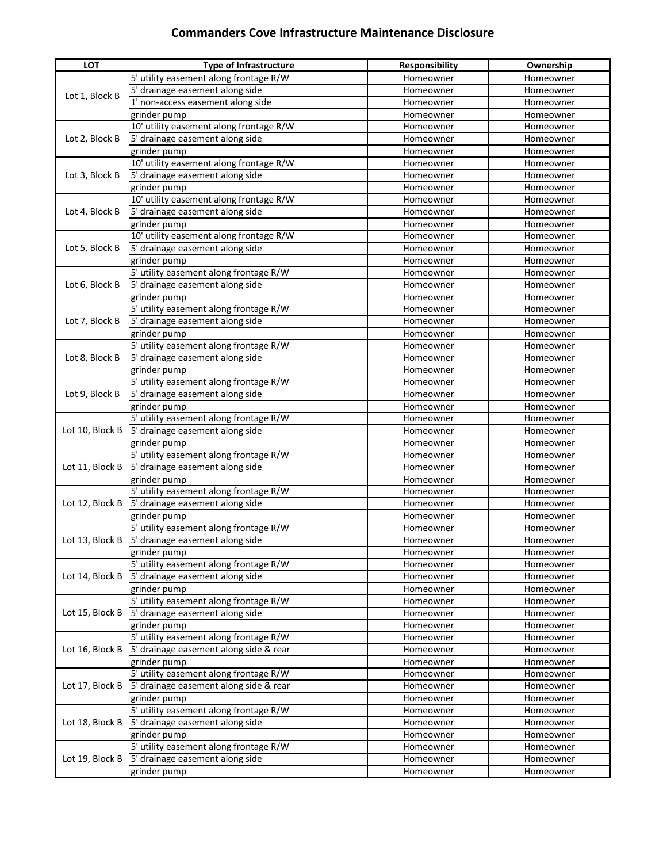| LOT             | <b>Type of Infrastructure</b>                                                    | <b>Responsibility</b>  | Ownership              |
|-----------------|----------------------------------------------------------------------------------|------------------------|------------------------|
| Lot 1, Block B  | 5' utility easement along frontage R/W                                           | Homeowner              | Homeowner              |
|                 | 5' drainage easement along side                                                  | Homeowner              | Homeowner              |
|                 | 1' non-access easement along side                                                | Homeowner              | Homeowner              |
|                 | grinder pump                                                                     | Homeowner              | Homeowner              |
|                 | 10' utility easement along frontage R/W                                          | Homeowner              | Homeowner              |
| Lot 2, Block B  | 5' drainage easement along side                                                  | Homeowner              | Homeowner              |
|                 | grinder pump                                                                     | Homeowner              | Homeowner              |
|                 | 10' utility easement along frontage R/W                                          | Homeowner              | Homeowner              |
| Lot 3, Block B  | 5' drainage easement along side                                                  | Homeowner              | Homeowner              |
|                 | grinder pump                                                                     | Homeowner              | Homeowner              |
|                 | 10' utility easement along frontage R/W                                          | Homeowner              | Homeowner              |
| Lot 4, Block B  | 5' drainage easement along side                                                  | Homeowner              | Homeowner              |
|                 | grinder pump                                                                     | Homeowner              | Homeowner              |
|                 | 10' utility easement along frontage R/W                                          | Homeowner              | Homeowner              |
| Lot 5, Block B  | 5' drainage easement along side                                                  | Homeowner              | Homeowner              |
|                 | grinder pump                                                                     | Homeowner              | Homeowner              |
|                 | 5' utility easement along frontage R/W                                           | Homeowner              | Homeowner              |
| Lot 6, Block B  | 5' drainage easement along side                                                  | Homeowner              | Homeowner              |
|                 | grinder pump                                                                     | Homeowner              | Homeowner              |
|                 | 5' utility easement along frontage R/W                                           | Homeowner              | Homeowner              |
| Lot 7, Block B  | 5' drainage easement along side                                                  | Homeowner              | Homeowner              |
|                 | grinder pump                                                                     | Homeowner              | Homeowner              |
|                 | 5' utility easement along frontage R/W                                           | Homeowner              | Homeowner              |
| Lot 8, Block B  | 5' drainage easement along side                                                  | Homeowner              | Homeowner              |
|                 | grinder pump                                                                     | Homeowner              | Homeowner              |
|                 | 5' utility easement along frontage R/W                                           | Homeowner              | Homeowner              |
| Lot 9, Block B  | 5' drainage easement along side                                                  | Homeowner              | Homeowner              |
|                 | grinder pump                                                                     | Homeowner              | Homeowner              |
|                 | 5' utility easement along frontage R/W                                           | Homeowner              | Homeowner              |
| Lot 10, Block B | 5' drainage easement along side                                                  | Homeowner              | Homeowner              |
|                 | grinder pump                                                                     | Homeowner              | Homeowner              |
|                 | 5' utility easement along frontage R/W                                           | Homeowner              | Homeowner              |
| Lot 11, Block B | 5' drainage easement along side                                                  | Homeowner              | Homeowner              |
|                 | grinder pump                                                                     | Homeowner              | Homeowner              |
|                 | 5' utility easement along frontage R/W                                           | Homeowner              | Homeowner              |
| Lot 12, Block B | 5' drainage easement along side                                                  | Homeowner              | Homeowner              |
|                 | grinder pump                                                                     | Homeowner              | Homeowner              |
|                 | 5' utility easement along frontage R/W                                           | Homeowner              | Homeowner              |
|                 | Lot 13, Block B   5' drainage easement along side                                | Homeowner              | Homeowner              |
|                 | grinder pump                                                                     | Homeowner              | Homeowner              |
|                 | 5' utility easement along frontage R/W                                           | Homeowner              | Homeowner              |
| Lot 14, Block B | 5' drainage easement along side                                                  | Homeowner              | Homeowner              |
|                 | grinder pump                                                                     | Homeowner              | Homeowner              |
|                 | 5' utility easement along frontage R/W                                           | Homeowner              | Homeowner              |
| Lot 15, Block B | 5' drainage easement along side                                                  | Homeowner              | Homeowner              |
|                 | grinder pump<br>5' utility easement along frontage R/W                           | Homeowner              | Homeowner              |
|                 | 5' drainage easement along side & rear                                           | Homeowner              | Homeowner              |
| Lot 16, Block B |                                                                                  | Homeowner              | Homeowner              |
|                 | grinder pump                                                                     | Homeowner              | Homeowner              |
| Lot 17, Block B | 5' utility easement along frontage R/W<br>5' drainage easement along side & rear | Homeowner              | Homeowner              |
|                 | grinder pump                                                                     | Homeowner<br>Homeowner | Homeowner<br>Homeowner |
|                 |                                                                                  |                        |                        |
| Lot 18, Block B | 5' utility easement along frontage R/W<br>5' drainage easement along side        | Homeowner<br>Homeowner | Homeowner<br>Homeowner |
|                 | grinder pump                                                                     | Homeowner              | Homeowner              |
|                 | 5' utility easement along frontage R/W                                           | Homeowner              | Homeowner              |
| Lot 19, Block B | 5' drainage easement along side                                                  | Homeowner              | Homeowner              |
|                 |                                                                                  |                        |                        |
|                 | grinder pump                                                                     | Homeowner              | Homeowner              |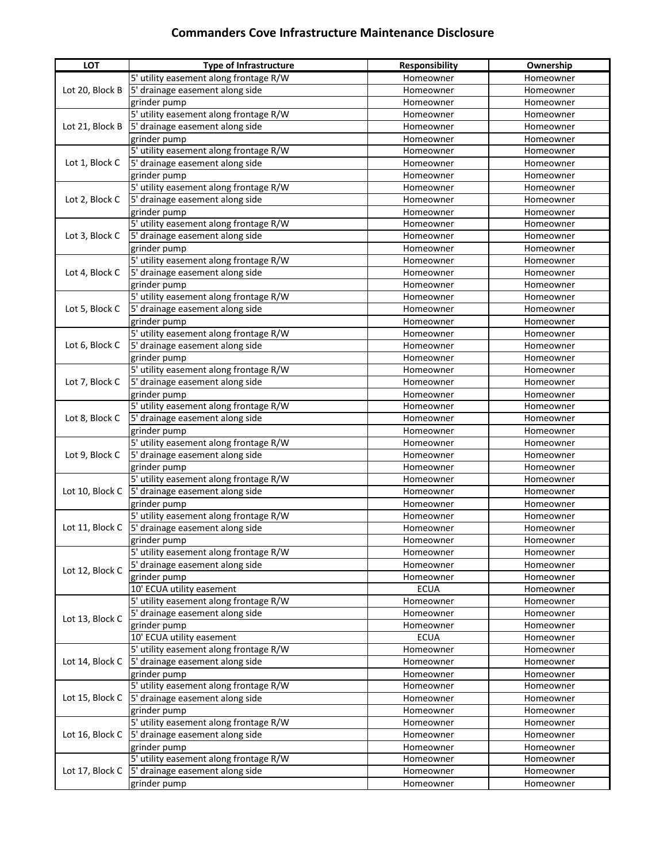| LOT             | <b>Type of Infrastructure</b>          | Responsibility | Ownership |
|-----------------|----------------------------------------|----------------|-----------|
| Lot 20, Block B | 5' utility easement along frontage R/W | Homeowner      | Homeowner |
|                 | 5' drainage easement along side        | Homeowner      | Homeowner |
|                 | grinder pump                           | Homeowner      | Homeowner |
| Lot 21, Block B | 5' utility easement along frontage R/W | Homeowner      | Homeowner |
|                 | 5' drainage easement along side        | Homeowner      | Homeowner |
|                 | grinder pump                           | Homeowner      | Homeowner |
|                 | 5' utility easement along frontage R/W | Homeowner      | Homeowner |
| Lot 1, Block C  | 5' drainage easement along side        | Homeowner      | Homeowner |
|                 | grinder pump                           | Homeowner      | Homeowner |
|                 | 5' utility easement along frontage R/W | Homeowner      | Homeowner |
| Lot 2, Block C  | 5' drainage easement along side        | Homeowner      | Homeowner |
|                 | grinder pump                           | Homeowner      | Homeowner |
|                 | 5' utility easement along frontage R/W | Homeowner      | Homeowner |
| Lot 3, Block C  | 5' drainage easement along side        | Homeowner      | Homeowner |
|                 | grinder pump                           | Homeowner      | Homeowner |
|                 | 5' utility easement along frontage R/W | Homeowner      | Homeowner |
| Lot 4, Block C  | 5' drainage easement along side        | Homeowner      | Homeowner |
|                 | grinder pump                           | Homeowner      | Homeowner |
|                 | 5' utility easement along frontage R/W | Homeowner      | Homeowner |
| Lot 5, Block C  | 5' drainage easement along side        | Homeowner      | Homeowner |
|                 | grinder pump                           | Homeowner      | Homeowner |
|                 | 5' utility easement along frontage R/W | Homeowner      | Homeowner |
| Lot 6, Block C  | 5' drainage easement along side        | Homeowner      | Homeowner |
|                 | grinder pump                           | Homeowner      | Homeowner |
|                 | 5' utility easement along frontage R/W | Homeowner      | Homeowner |
| Lot 7, Block C  | 5' drainage easement along side        | Homeowner      | Homeowner |
|                 | grinder pump                           | Homeowner      | Homeowner |
|                 | 5' utility easement along frontage R/W | Homeowner      | Homeowner |
| Lot 8, Block C  | 5' drainage easement along side        | Homeowner      | Homeowner |
|                 | grinder pump                           | Homeowner      | Homeowner |
|                 | 5' utility easement along frontage R/W | Homeowner      | Homeowner |
| Lot 9, Block C  | 5' drainage easement along side        | Homeowner      | Homeowner |
|                 | grinder pump                           | Homeowner      | Homeowner |
|                 | 5' utility easement along frontage R/W | Homeowner      | Homeowner |
| Lot 10, Block C | 5' drainage easement along side        | Homeowner      | Homeowner |
|                 | grinder pump                           | Homeowner      | Homeowner |
|                 | 5' utility easement along frontage R/W | Homeowner      | Homeowner |
| Lot 11, Block C | 5' drainage easement along side        | Homeowner      | Homeowner |
|                 | grinder pump                           | Homeowner      | Homeowner |
|                 | 5' utility easement along frontage R/W | Homeowner      | Homeowner |
|                 | 5' drainage easement along side        | Homeowner      | Homeowner |
| Lot 12, Block C | grinder pump                           | Homeowner      | Homeowner |
|                 | 10' ECUA utility easement              | <b>ECUA</b>    | Homeowner |
|                 | 5' utility easement along frontage R/W | Homeowner      | Homeowner |
| Lot 13, Block C | 5' drainage easement along side        | Homeowner      | Homeowner |
|                 | grinder pump                           | Homeowner      | Homeowner |
|                 | 10' ECUA utility easement              | <b>ECUA</b>    | Homeowner |
| Lot 14, Block C | 5' utility easement along frontage R/W | Homeowner      | Homeowner |
|                 | 5' drainage easement along side        | Homeowner      | Homeowner |
|                 | grinder pump                           | Homeowner      | Homeowner |
| Lot 15, Block C | 5' utility easement along frontage R/W | Homeowner      | Homeowner |
|                 | 5' drainage easement along side        | Homeowner      | Homeowner |
|                 | grinder pump                           | Homeowner      | Homeowner |
|                 | 5' utility easement along frontage R/W | Homeowner      | Homeowner |
| Lot 16, Block C | 5' drainage easement along side        | Homeowner      | Homeowner |
|                 | grinder pump                           | Homeowner      | Homeowner |
|                 | 5' utility easement along frontage R/W | Homeowner      | Homeowner |
| Lot 17, Block C | 5' drainage easement along side        | Homeowner      | Homeowner |
|                 | grinder pump                           | Homeowner      | Homeowner |